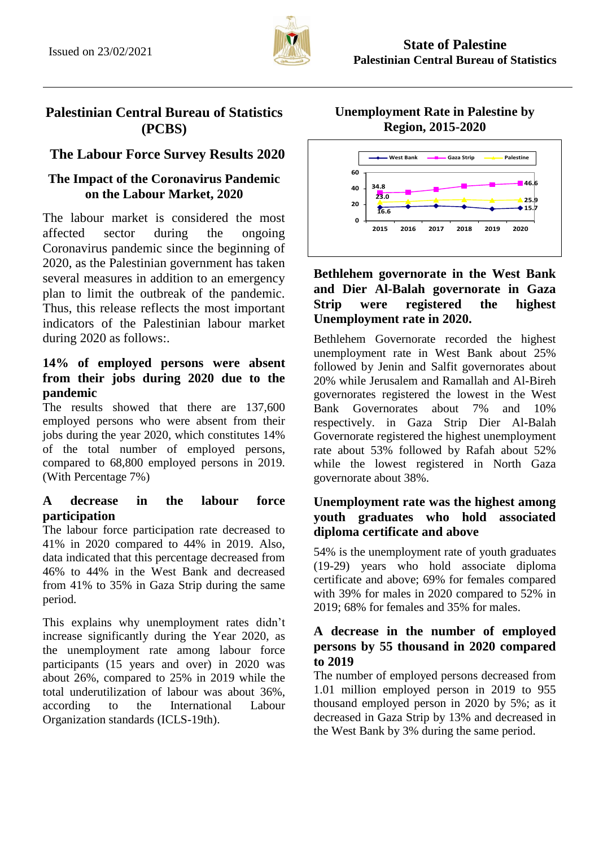

## **Palestinian Central Bureau of Statistics (PCBS)**

# **The Labour Force Survey Results 2020**

## **The Impact of the Coronavirus Pandemic on the Labour Market, 2020**

The labour market is considered the most affected sector during the ongoing Coronavirus pandemic since the beginning of 2020, as the Palestinian government has taken several measures in addition to an emergency plan to limit the outbreak of the pandemic. Thus, this release reflects the most important indicators of the Palestinian labour market during 2020 as follows:.

### **14% of employed persons were absent from their jobs during 2020 due to the pandemic**

The results showed that there are 137,600 employed persons who were absent from their jobs during the year 2020, which constitutes 14% of the total number of employed persons, compared to 68,800 employed persons in 2019. (With Percentage 7%)

## **A decrease in the labour force participation**

The labour force participation rate decreased to 41% in 2020 compared to 44% in 2019. Also, data indicated that this percentage decreased from 46% to 44% in the West Bank and decreased from 41% to 35% in Gaza Strip during the same period.

This explains why unemployment rates didn't increase significantly during the Year 2020, as the unemployment rate among labour force participants (15 years and over) in 2020 was about 26%, compared to 25% in 2019 while the total underutilization of labour was about 36%, according to the International Labour Organization standards (ICLS-19th).

**Unemployment Rate in Palestine by Region, 2015-2020**



### **Bethlehem governorate in the West Bank and Dier Al-Balah governorate in Gaza Strip were registered the highest Unemployment rate in 2020.**

Bethlehem Governorate recorded the highest unemployment rate in West Bank about 25% followed by Jenin and Salfit governorates about 20% while Jerusalem and Ramallah and Al-Bireh governorates registered the lowest in the West Bank Governorates about 7% and 10% respectively. in Gaza Strip Dier Al-Balah Governorate registered the highest unemployment rate about 53% followed by Rafah about 52% while the lowest registered in North Gaza governorate about 38%.

### **Unemployment rate was the highest among youth graduates who hold associated diploma certificate and above**

54% is the unemployment rate of youth graduates (19-29) years who hold associate diploma certificate and above; 69% for females compared with 39% for males in 2020 compared to 52% in 2019; 68% for females and 35% for males.

### **A decrease in the number of employed persons by 55 thousand in 2020 compared to 2019**

The number of employed persons decreased from 1.01 million employed person in 2019 to 955 thousand employed person in 2020 by 5%; as it decreased in Gaza Strip by 13% and decreased in the West Bank by 3% during the same period.